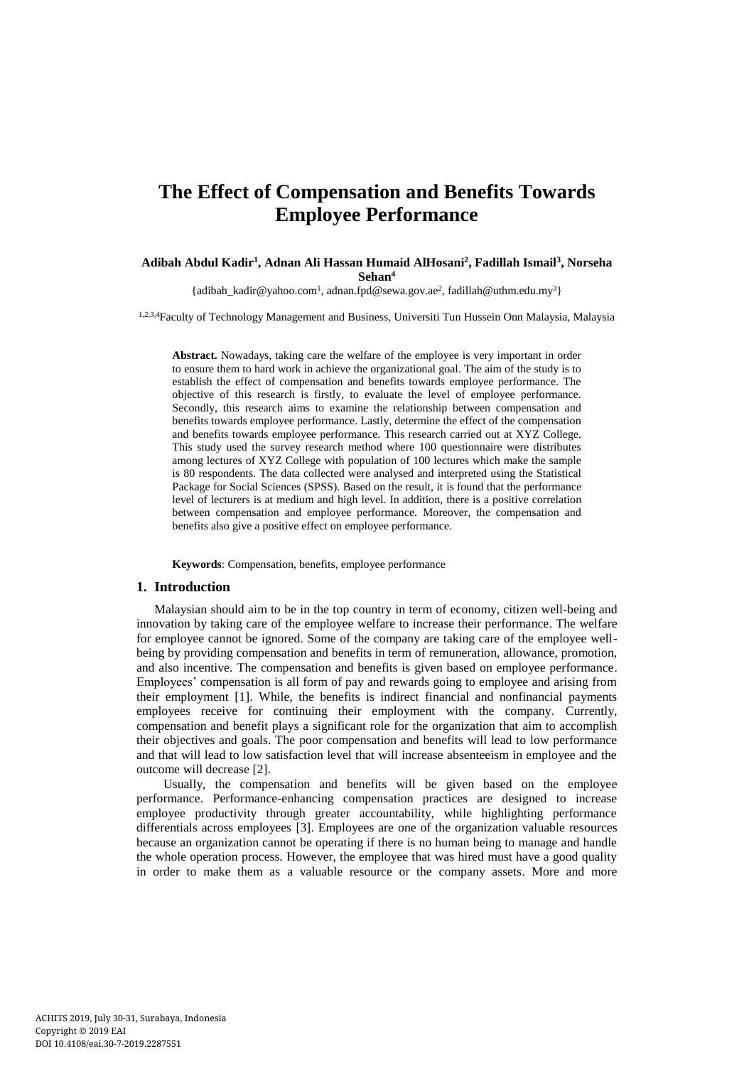# **The Effect of Compensation and Benefits Towards Employee Performance**

### **Adibah Abdul Kadir<sup>1</sup> , Adnan Ali Hassan Humaid AlHosani<sup>2</sup> , Fadillah Ismail<sup>3</sup> , Norseha Sehan<sup>4</sup>**

[{adibah\\_kadir@yahoo.com](mailto:adibah_kadir@yahoo.com1)<sup>1</sup> , [adnan.fpd@sewa.gov.ae](mailto:adnan.fpd@sewa.gov.ae2)<sup>2</sup> [, fadillah@uthm.edu.my](mailto:fadillah@uthm.edu.my)<sup>3</sup>}

1,2,3,4Faculty of Technology Management and Business, Universiti Tun Hussein Onn Malaysia, Malaysia

**Abstract.** Nowadays, taking care the welfare of the employee is very important in order to ensure them to hard work in achieve the organizational goal. The aim of the study is to establish the effect of compensation and benefits towards employee performance. The objective of this research is firstly, to evaluate the level of employee performance. Secondly, this research aims to examine the relationship between compensation and benefits towards employee performance. Lastly, determine the effect of the compensation and benefits towards employee performance. This research carried out at XYZ College. This study used the survey research method where 100 questionnaire were distributes among lectures of XYZ College with population of 100 lectures which make the sample is 80 respondents. The data collected were analysed and interpreted using the Statistical Package for Social Sciences (SPSS). Based on the result, it is found that the performance level of lecturers is at medium and high level. In addition, there is a positive correlation between compensation and employee performance. Moreover, the compensation and benefits also give a positive effect on employee performance.

**Keywords**: Compensation, benefits, employee performance

### **1. Introduction**

Malaysian should aim to be in the top country in term of economy, citizen well-being and innovation by taking care of the employee welfare to increase their performance. The welfare for employee cannot be ignored. Some of the company are taking care of the employee wellbeing by providing compensation and benefits in term of remuneration, allowance, promotion, and also incentive. The compensation and benefits is given based on employee performance. Employees' compensation is all form of pay and rewards going to employee and arising from their employment [1]. While, the benefits is indirect financial and nonfinancial payments employees receive for continuing their employment with the company. Currently, compensation and benefit plays a significant role for the organization that aim to accomplish their objectives and goals. The poor compensation and benefits will lead to low performance and that will lead to low satisfaction level that will increase absenteeism in employee and the outcome will decrease [2].

Usually, the compensation and benefits will be given based on the employee performance. Performance-enhancing compensation practices are designed to increase employee productivity through greater accountability, while highlighting performance differentials across employees [3]. Employees are one of the organization valuable resources because an organization cannot be operating if there is no human being to manage and handle the whole operation process. However, the employee that was hired must have a good quality in order to make them as a valuable resource or the company assets. More and more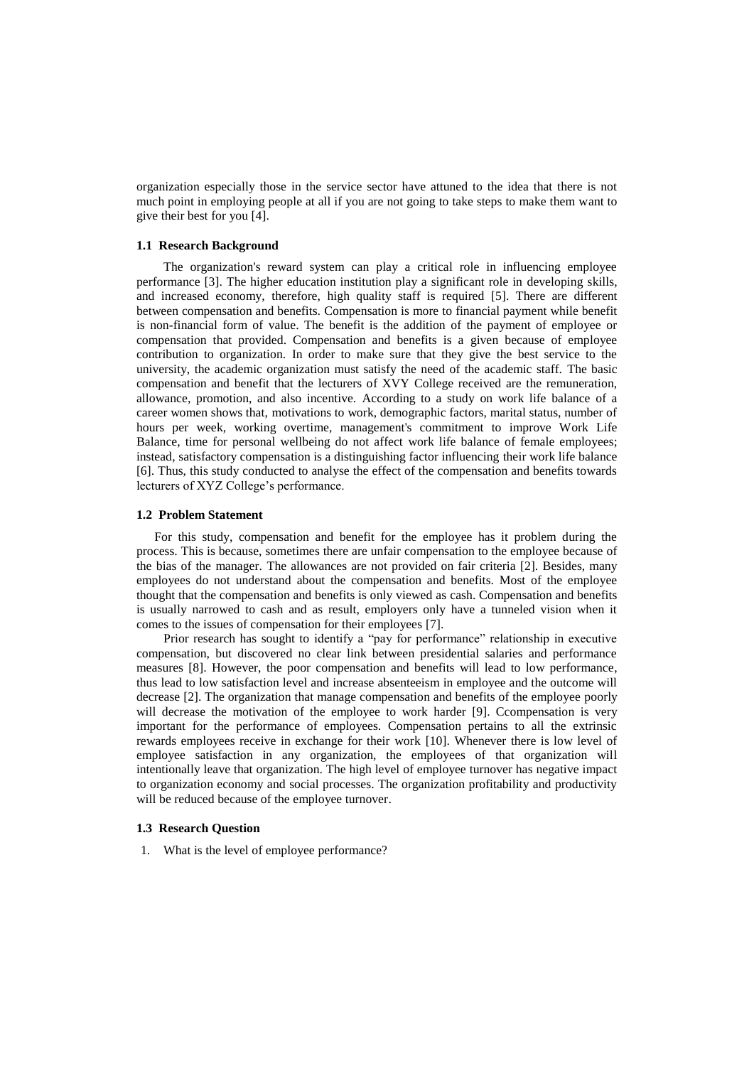organization especially those in the service sector have attuned to the idea that there is not much point in employing people at all if you are not going to take steps to make them want to give their best for you [4].

### **1.1 Research Background**

The organization's reward system can play a critical role in influencing employee performance [3]. The higher education institution play a significant role in developing skills, and increased economy, therefore, high quality staff is required [5]. There are different between compensation and benefits. Compensation is more to financial payment while benefit is non-financial form of value. The benefit is the addition of the payment of employee or compensation that provided. Compensation and benefits is a given because of employee contribution to organization. In order to make sure that they give the best service to the university, the academic organization must satisfy the need of the academic staff. The basic compensation and benefit that the lecturers of XVY College received are the remuneration, allowance, promotion, and also incentive. According to a study on work life balance of a career women shows that, motivations to work, demographic factors, marital status, number of hours per week, working overtime, management's commitment to improve Work Life Balance, time for personal wellbeing do not affect work life balance of female employees; instead, satisfactory compensation is a distinguishing factor influencing their work life balance [6]. Thus, this study conducted to analyse the effect of the compensation and benefits towards lecturers of XYZ College's performance.

#### **1.2 Problem Statement**

For this study, compensation and benefit for the employee has it problem during the process. This is because, sometimes there are unfair compensation to the employee because of the bias of the manager. The allowances are not provided on fair criteria [2]. Besides, many employees do not understand about the compensation and benefits. Most of the employee thought that the compensation and benefits is only viewed as cash. Compensation and benefits is usually narrowed to cash and as result, employers only have a tunneled vision when it comes to the issues of compensation for their employees [7].

Prior research has sought to identify a "pay for performance" relationship in executive compensation, but discovered no clear link between presidential salaries and performance measures [8]. However, the poor compensation and benefits will lead to low performance, thus lead to low satisfaction level and increase absenteeism in employee and the outcome will decrease [2]. The organization that manage compensation and benefits of the employee poorly will decrease the motivation of the employee to work harder [9]. Ccompensation is very important for the performance of employees. Compensation pertains to all the extrinsic rewards employees receive in exchange for their work [10]. Whenever there is low level of employee satisfaction in any organization, the employees of that organization will intentionally leave that organization. The high level of employee turnover has negative impact to organization economy and social processes. The organization profitability and productivity will be reduced because of the employee turnover.

### **1.3 Research Question**

1. What is the level of employee performance?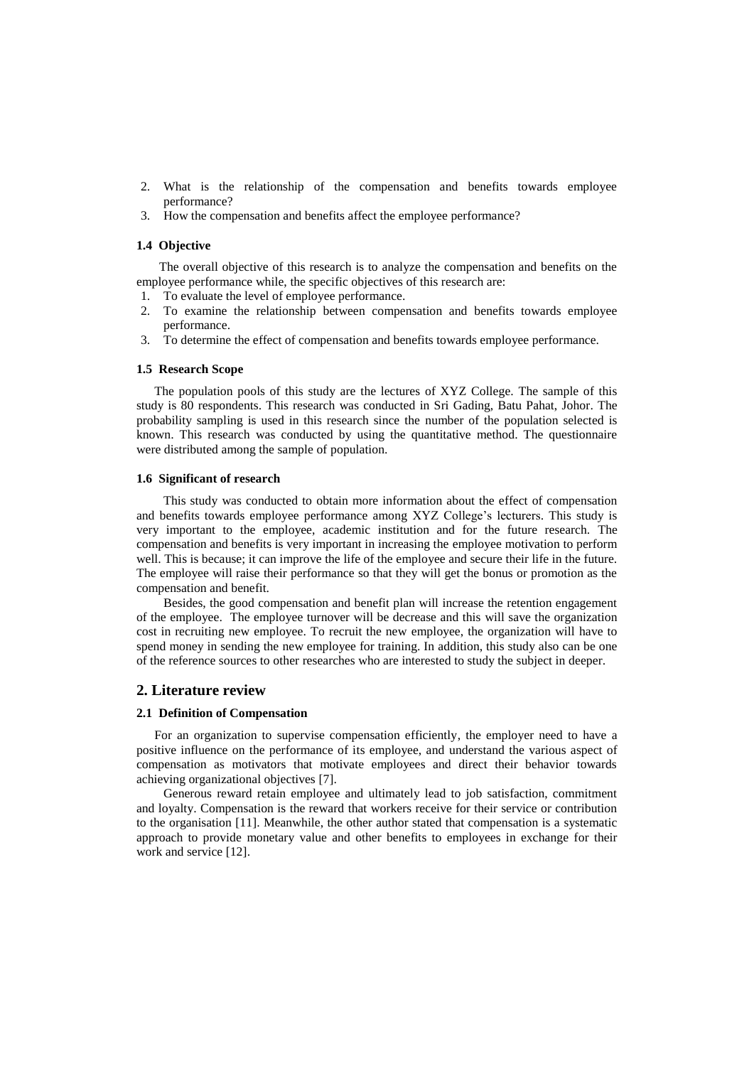- 2. What is the relationship of the compensation and benefits towards employee performance?
- 3. How the compensation and benefits affect the employee performance?

### **1.4 Objective**

The overall objective of this research is to analyze the compensation and benefits on the employee performance while, the specific objectives of this research are:

- 1. To evaluate the level of employee performance.
- 2. To examine the relationship between compensation and benefits towards employee performance.
- 3. To determine the effect of compensation and benefits towards employee performance.

#### **1.5 Research Scope**

The population pools of this study are the lectures of XYZ College. The sample of this study is 80 respondents. This research was conducted in Sri Gading, Batu Pahat, Johor. The probability sampling is used in this research since the number of the population selected is known. This research was conducted by using the quantitative method. The questionnaire were distributed among the sample of population.

#### **1.6 Significant of research**

This study was conducted to obtain more information about the effect of compensation and benefits towards employee performance among XYZ College's lecturers. This study is very important to the employee, academic institution and for the future research. The compensation and benefits is very important in increasing the employee motivation to perform well. This is because; it can improve the life of the employee and secure their life in the future. The employee will raise their performance so that they will get the bonus or promotion as the compensation and benefit.

Besides, the good compensation and benefit plan will increase the retention engagement of the employee. The employee turnover will be decrease and this will save the organization cost in recruiting new employee. To recruit the new employee, the organization will have to spend money in sending the new employee for training. In addition, this study also can be one of the reference sources to other researches who are interested to study the subject in deeper.

### **2. Literature review**

#### **2.1 Definition of Compensation**

For an organization to supervise compensation efficiently, the employer need to have a positive influence on the performance of its employee, and understand the various aspect of compensation as motivators that motivate employees and direct their behavior towards achieving organizational objectives [7].

Generous reward retain employee and ultimately lead to job satisfaction, commitment and loyalty. Compensation is the reward that workers receive for their service or contribution to the organisation [11]. Meanwhile, the other author stated that compensation is a systematic approach to provide monetary value and other benefits to employees in exchange for their work and service [12].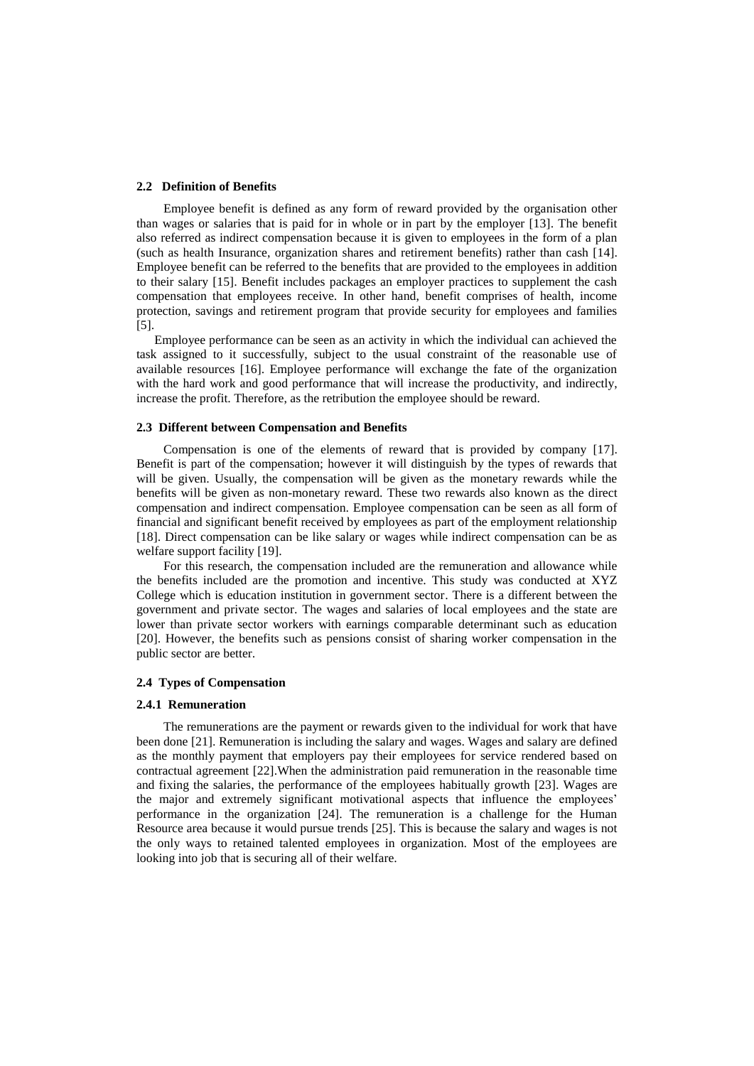### **2.2 Definition of Benefits**

Employee benefit is defined as any form of reward provided by the organisation other than wages or salaries that is paid for in whole or in part by the employer [13]. The benefit also referred as indirect compensation because it is given to employees in the form of a plan (such as health Insurance, organization shares and retirement benefits) rather than cash [14]. Employee benefit can be referred to the benefits that are provided to the employees in addition to their salary [15]. Benefit includes packages an employer practices to supplement the cash compensation that employees receive. In other hand, benefit comprises of health, income protection, savings and retirement program that provide security for employees and families [5].

Employee performance can be seen as an activity in which the individual can achieved the task assigned to it successfully, subject to the usual constraint of the reasonable use of available resources [16]. Employee performance will exchange the fate of the organization with the hard work and good performance that will increase the productivity, and indirectly, increase the profit. Therefore, as the retribution the employee should be reward.

### **2.3 Different between Compensation and Benefits**

Compensation is one of the elements of reward that is provided by company [17]. Benefit is part of the compensation; however it will distinguish by the types of rewards that will be given. Usually, the compensation will be given as the monetary rewards while the benefits will be given as non-monetary reward. These two rewards also known as the direct compensation and indirect compensation. Employee compensation can be seen as all form of financial and significant benefit received by employees as part of the employment relationship [18]. Direct compensation can be like salary or wages while indirect compensation can be as welfare support facility [19].

For this research, the compensation included are the remuneration and allowance while the benefits included are the promotion and incentive. This study was conducted at XYZ College which is education institution in government sector. There is a different between the government and private sector. The wages and salaries of local employees and the state are lower than private sector workers with earnings comparable determinant such as education [20]. However, the benefits such as pensions consist of sharing worker compensation in the public sector are better.

### **2.4 Types of Compensation**

#### **2.4.1 Remuneration**

The remunerations are the payment or rewards given to the individual for work that have been done [21]. Remuneration is including the salary and wages. Wages and salary are defined as the monthly payment that employers pay their employees for service rendered based on contractual agreement [22].When the administration paid remuneration in the reasonable time and fixing the salaries, the performance of the employees habitually growth [23]. Wages are the major and extremely significant motivational aspects that influence the employees' performance in the organization [24]. The remuneration is a challenge for the Human Resource area because it would pursue trends [25]. This is because the salary and wages is not the only ways to retained talented employees in organization. Most of the employees are looking into job that is securing all of their welfare.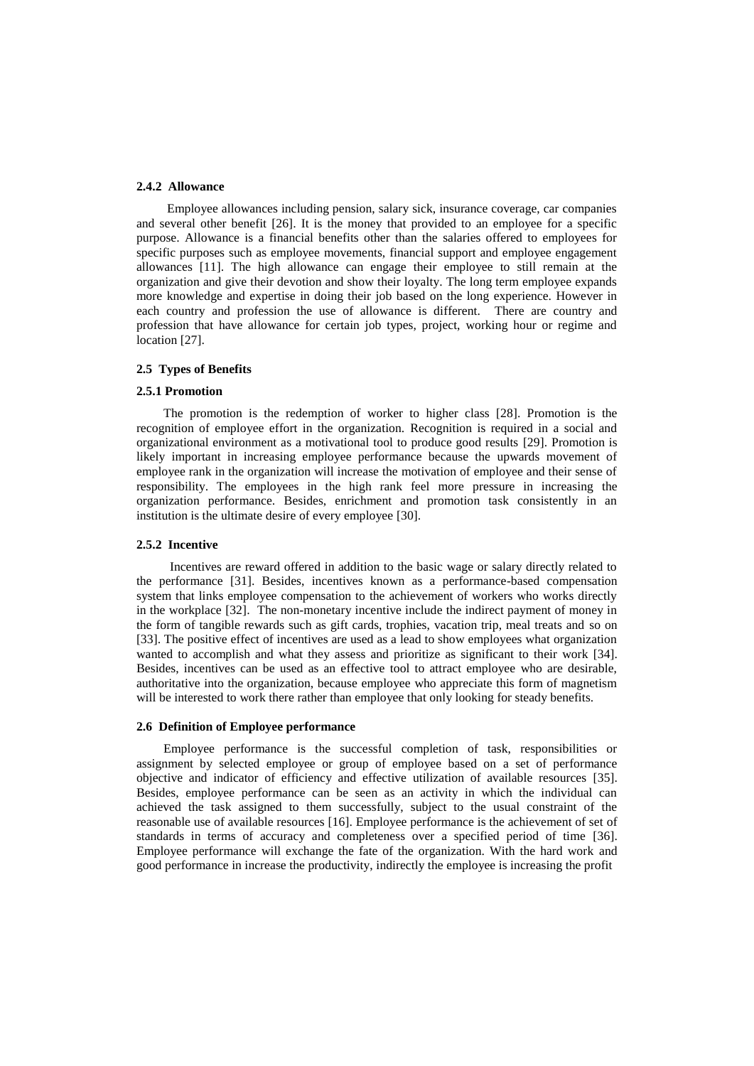### **2.4.2 Allowance**

 Employee allowances including pension, salary sick, insurance coverage, car companies and several other benefit [26]. It is the money that provided to an employee for a specific purpose. Allowance is a financial benefits other than the salaries offered to employees for specific purposes such as employee movements, financial support and employee engagement allowances [11]. The high allowance can engage their employee to still remain at the organization and give their devotion and show their loyalty. The long term employee expands more knowledge and expertise in doing their job based on the long experience. However in each country and profession the use of allowance is different. There are country and profession that have allowance for certain job types, project, working hour or regime and location [27].

### **2.5 Types of Benefits**

#### **2.5.1 Promotion**

The promotion is the redemption of worker to higher class [28]. Promotion is the recognition of employee effort in the organization. Recognition is required in a social and organizational environment as a motivational tool to produce good results [29]. Promotion is likely important in increasing employee performance because the upwards movement of employee rank in the organization will increase the motivation of employee and their sense of responsibility. The employees in the high rank feel more pressure in increasing the organization performance. Besides, enrichment and promotion task consistently in an institution is the ultimate desire of every employee [30].

#### **2.5.2 Incentive**

 Incentives are reward offered in addition to the basic wage or salary directly related to the performance [31]. Besides, incentives known as a performance-based compensation system that links employee compensation to the achievement of workers who works directly in the workplace [32]. The non-monetary incentive include the indirect payment of money in the form of tangible rewards such as gift cards, trophies, vacation trip, meal treats and so on [33]. The positive effect of incentives are used as a lead to show employees what organization wanted to accomplish and what they assess and prioritize as significant to their work [34]. Besides, incentives can be used as an effective tool to attract employee who are desirable, authoritative into the organization, because employee who appreciate this form of magnetism will be interested to work there rather than employee that only looking for steady benefits.

### **2.6 Definition of Employee performance**

Employee performance is the successful completion of task, responsibilities or assignment by selected employee or group of employee based on a set of performance objective and indicator of efficiency and effective utilization of available resources [35]. Besides, employee performance can be seen as an activity in which the individual can achieved the task assigned to them successfully, subject to the usual constraint of the reasonable use of available resources [16]. Employee performance is the achievement of set of standards in terms of accuracy and completeness over a specified period of time [36]. Employee performance will exchange the fate of the organization. With the hard work and good performance in increase the productivity, indirectly the employee is increasing the profit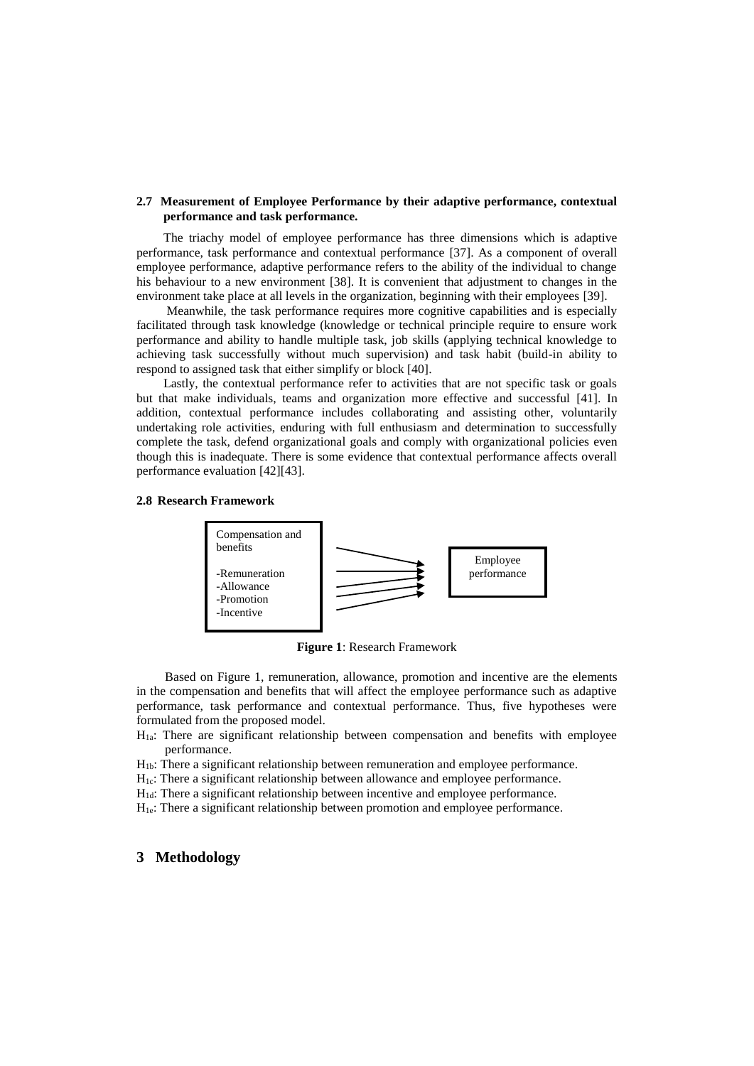### **2.7 Measurement of Employee Performance by their adaptive performance, contextual performance and task performance.**

The triachy model of employee performance has three dimensions which is adaptive performance, task performance and contextual performance [37]. As a component of overall employee performance, adaptive performance refers to the ability of the individual to change his behaviour to a new environment [38]. It is convenient that adjustment to changes in the environment take place at all levels in the organization, beginning with their employees [39].

Meanwhile, the task performance requires more cognitive capabilities and is especially facilitated through task knowledge (knowledge or technical principle require to ensure work performance and ability to handle multiple task, job skills (applying technical knowledge to achieving task successfully without much supervision) and task habit (build-in ability to respond to assigned task that either simplify or block [40].

Lastly, the contextual performance refer to activities that are not specific task or goals but that make individuals, teams and organization more effective and successful [41]. In addition, contextual performance includes collaborating and assisting other, voluntarily undertaking role activities, enduring with full enthusiasm and determination to successfully complete the task, defend organizational goals and comply with organizational policies even though this is inadequate. There is some evidence that contextual performance affects overall performance evaluation [42][43].

### **2.8 Research Framework**



**Figure 1**: Research Framework

Based on Figure 1, remuneration, allowance, promotion and incentive are the elements in the compensation and benefits that will affect the employee performance such as adaptive performance, task performance and contextual performance. Thus, five hypotheses were formulated from the proposed model.

H1a: There are significant relationship between compensation and benefits with employee performance.

H1b: There a significant relationship between remuneration and employee performance.

H<sub>1c</sub>: There a significant relationship between allowance and employee performance.

H<sub>1d</sub>: There a significant relationship between incentive and employee performance.

H<sub>1e</sub>: There a significant relationship between promotion and employee performance.

### **3 Methodology**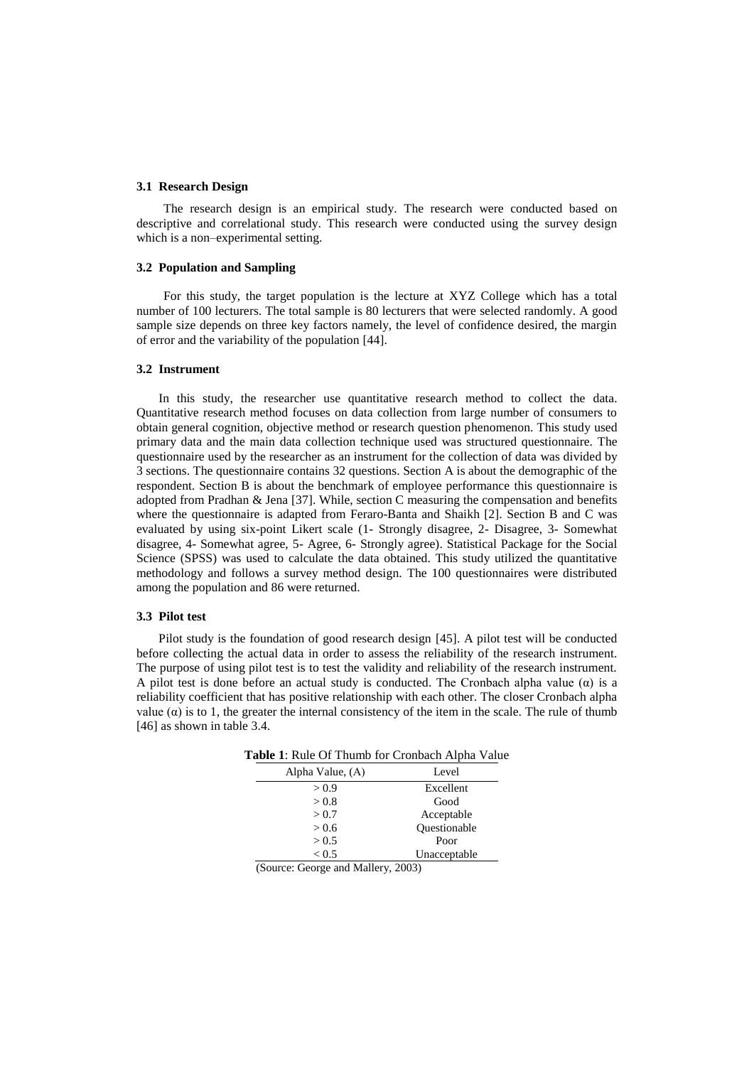### **3.1 Research Design**

The research design is an empirical study. The research were conducted based on descriptive and correlational study. This research were conducted using the survey design which is a non–experimental setting.

### **3.2 Population and Sampling**

For this study, the target population is the lecture at XYZ College which has a total number of 100 lecturers. The total sample is 80 lecturers that were selected randomly. A good sample size depends on three key factors namely, the level of confidence desired, the margin of error and the variability of the population [44].

### **3.2 Instrument**

 In this study, the researcher use quantitative research method to collect the data. Quantitative research method focuses on data collection from large number of consumers to obtain general cognition, objective method or research question phenomenon. This study used primary data and the main data collection technique used was structured questionnaire. The questionnaire used by the researcher as an instrument for the collection of data was divided by 3 sections. The questionnaire contains 32 questions. Section A is about the demographic of the respondent. Section B is about the benchmark of employee performance this questionnaire is adopted from Pradhan & Jena [37]. While, section C measuring the compensation and benefits where the questionnaire is adapted from Feraro-Banta and Shaikh [2]. Section B and C was evaluated by using six-point Likert scale (1- Strongly disagree, 2- Disagree, 3- Somewhat disagree, 4- Somewhat agree, 5- Agree, 6- Strongly agree). Statistical Package for the Social Science (SPSS) was used to calculate the data obtained. This study utilized the quantitative methodology and follows a survey method design. The 100 questionnaires were distributed among the population and 86 were returned.

### **3.3 Pilot test**

 Pilot study is the foundation of good research design [45]. A pilot test will be conducted before collecting the actual data in order to assess the reliability of the research instrument. The purpose of using pilot test is to test the validity and reliability of the research instrument. A pilot test is done before an actual study is conducted. The Cronbach alpha value  $(\alpha)$  is a reliability coefficient that has positive relationship with each other. The closer Cronbach alpha value  $(\alpha)$  is to 1, the greater the internal consistency of the item in the scale. The rule of thumb [46] as shown in table 3.4.

| Alpha Value, (A) | Level        |
|------------------|--------------|
| > 0.9            | Excellent    |
| > 0.8            | Good         |
| > 0.7            | Acceptable   |
| > 0.6            | Questionable |
| > 0.5            | Poor         |
| < 0.5            | Unacceptable |
|                  |              |

**Table 1**: Rule Of Thumb for Cronbach Alpha Value

(Source: George and Mallery, 2003)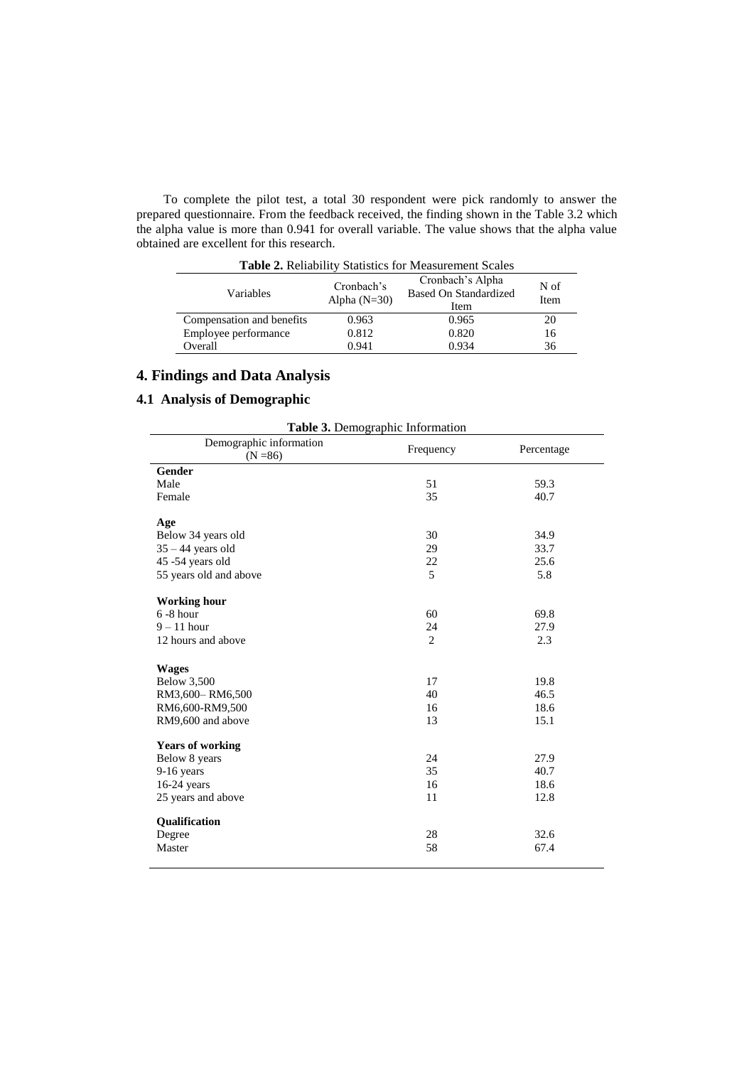To complete the pilot test, a total 30 respondent were pick randomly to answer the prepared questionnaire. From the feedback received, the finding shown in the Table 3.2 which the alpha value is more than 0.941 for overall variable. The value shows that the alpha value obtained are excellent for this research.

| <b>Table 2.</b> Reliability Statistics for Measurement Scales |                                                          |              |    |  |  |
|---------------------------------------------------------------|----------------------------------------------------------|--------------|----|--|--|
| Variables                                                     | Cronbach's Alpha<br><b>Based On Standardized</b><br>Item | N of<br>Item |    |  |  |
| Compensation and benefits                                     | 0.963                                                    | 0.965        | 20 |  |  |
| Employee performance                                          | 0.812                                                    | 0.820        | 16 |  |  |
| Overall                                                       | 0.941                                                    | 0.934        | 36 |  |  |

## **4. Findings and Data Analysis**

### **4.1 Analysis of Demographic**

| Table 3. Demographic Information      |                |            |  |  |
|---------------------------------------|----------------|------------|--|--|
| Demographic information<br>$(N = 86)$ | Frequency      | Percentage |  |  |
| <b>Gender</b>                         |                |            |  |  |
| Male                                  | 51             | 59.3       |  |  |
| Female                                | 35             | 40.7       |  |  |
| Age                                   |                |            |  |  |
| Below 34 years old                    | 30             | 34.9       |  |  |
| $35 - 44$ years old                   | 29             | 33.7       |  |  |
| 45 -54 years old                      | 22             | 25.6       |  |  |
| 55 years old and above                | 5              | 5.8        |  |  |
| <b>Working hour</b>                   |                |            |  |  |
| $6 - 8$ hour                          | 60             | 69.8       |  |  |
| $9 - 11$ hour                         | 24             | 27.9       |  |  |
| 12 hours and above                    | $\overline{2}$ | 2.3        |  |  |
| <b>Wages</b>                          |                |            |  |  |
| <b>Below 3,500</b>                    | 17             | 19.8       |  |  |
| RM3,600-RM6,500                       | 40             | 46.5       |  |  |
| RM6,600-RM9,500                       | 16             | 18.6       |  |  |
| RM9,600 and above                     | 13             | 15.1       |  |  |
| <b>Years of working</b>               |                |            |  |  |
| Below 8 years                         | 24             | 27.9       |  |  |
| $9-16$ years                          | 35             | 40.7       |  |  |
| $16-24$ years                         | 16             | 18.6       |  |  |
| 25 years and above                    | 11             | 12.8       |  |  |
| Qualification                         |                |            |  |  |
| Degree                                | 28             | 32.6       |  |  |
| Master                                | 58             | 67.4       |  |  |
|                                       |                |            |  |  |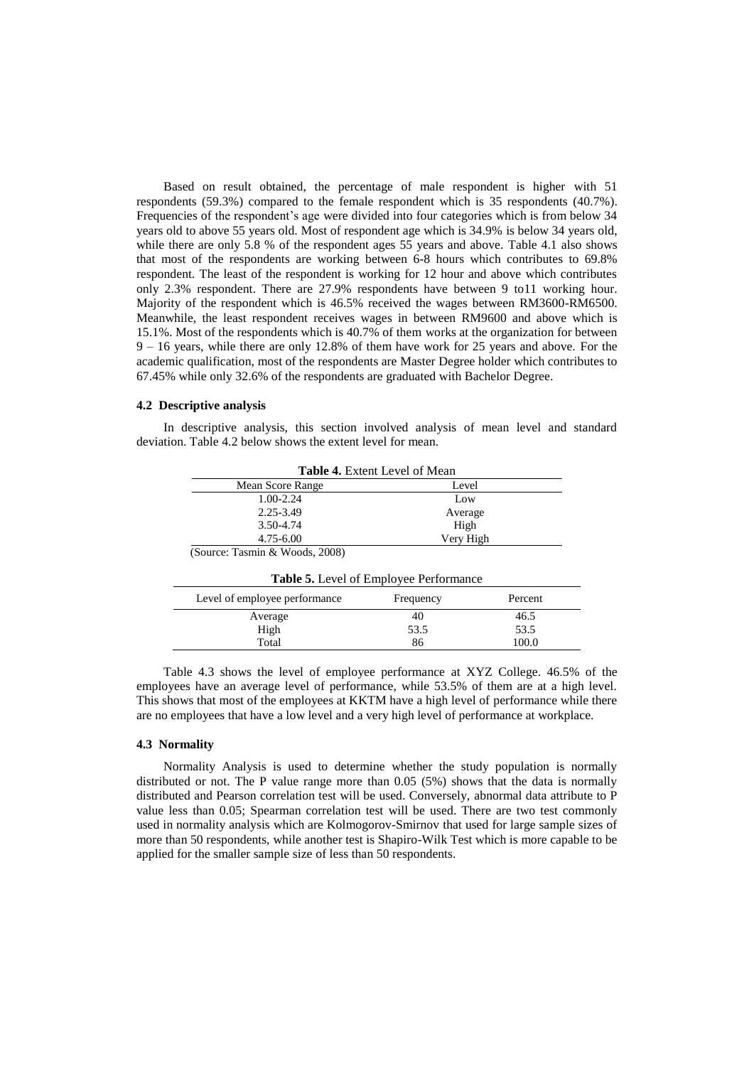Based on result obtained, the percentage of male respondent is higher with 51 respondents (59.3%) compared to the female respondent which is 35 respondents (40.7%). Frequencies of the respondent's age were divided into four categories which is from below 34 years old to above 55 years old. Most of respondent age which is 34.9% is below 34 years old, while there are only 5.8 % of the respondent ages 55 years and above. Table 4.1 also shows that most of the respondents are working between 6-8 hours which contributes to 69.8% respondent. The least of the respondent is working for 12 hour and above which contributes only 2.3% respondent. There are 27.9% respondents have between 9 to11 working hour. Majority of the respondent which is 46.5% received the wages between RM3600-RM6500. Meanwhile, the least respondent receives wages in between RM9600 and above which is 15.1%. Most of the respondents which is 40.7% of them works at the organization for between 9 – 16 years, while there are only 12.8% of them have work for 25 years and above. For the academic qualification, most of the respondents are Master Degree holder which contributes to 67.45% while only 32.6% of the respondents are graduated with Bachelor Degree.

### **4.2 Descriptive analysis**

In descriptive analysis, this section involved analysis of mean level and standard deviation. Table 4.2 below shows the extent level for mean.

| <b>Table 4.</b> Extent Level of Mean |           |  |
|--------------------------------------|-----------|--|
| Mean Score Range                     | Level     |  |
| $1.00 - 2.24$                        | Low       |  |
| 2.25-3.49                            | Average   |  |
| 3.50-4.74                            | High      |  |
| 4.75-6.00                            | Very High |  |
| (Source: Tasmin & Woods, 2008)       |           |  |

| <b>Table 5.</b> Level of Employee Performance         |      |       |  |  |  |
|-------------------------------------------------------|------|-------|--|--|--|
| Level of employee performance<br>Percent<br>Frequency |      |       |  |  |  |
| Average                                               | 40   | 46.5  |  |  |  |
| High                                                  | 53.5 | 53.5  |  |  |  |
| Total                                                 | 86   | 100.0 |  |  |  |

Table 4.3 shows the level of employee performance at XYZ College. 46.5% of the employees have an average level of performance, while 53.5% of them are at a high level. This shows that most of the employees at KKTM have a high level of performance while there are no employees that have a low level and a very high level of performance at workplace.

#### **4.3 Normality**

Normality Analysis is used to determine whether the study population is normally distributed or not. The P value range more than 0.05 (5%) shows that the data is normally distributed and Pearson correlation test will be used. Conversely, abnormal data attribute to P value less than 0.05; Spearman correlation test will be used. There are two test commonly used in normality analysis which are Kolmogorov-Smirnov that used for large sample sizes of more than 50 respondents, while another test is Shapiro-Wilk Test which is more capable to be applied for the smaller sample size of less than 50 respondents.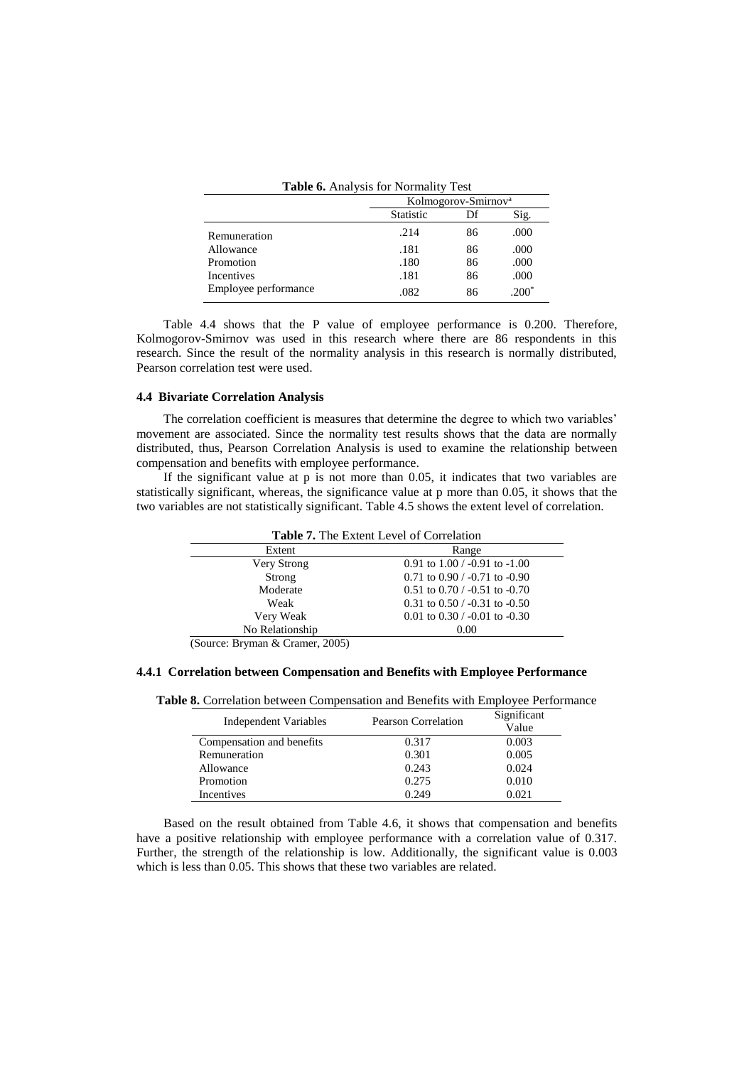| <b>Table 6.</b> Analysis for Normality Test |                  |                                 |
|---------------------------------------------|------------------|---------------------------------|
|                                             |                  | Kolmogorov-Smirnov <sup>a</sup> |
|                                             | <b>Statistic</b> | Df                              |

|                      | <b>Statistic</b> | Df | Sig.    |
|----------------------|------------------|----|---------|
| Remuneration         | .214             | 86 | .000    |
| Allowance            | .181             | 86 | .000    |
| Promotion            | .180             | 86 | .000    |
| Incentives           | .181             | 86 | .000    |
| Employee performance | .082             | 86 | $.200*$ |

Table 4.4 shows that the P value of employee performance is 0.200. Therefore, Kolmogorov-Smirnov was used in this research where there are 86 respondents in this research. Since the result of the normality analysis in this research is normally distributed, Pearson correlation test were used.

### **4.4 Bivariate Correlation Analysis**

The correlation coefficient is measures that determine the degree to which two variables' movement are associated. Since the normality test results shows that the data are normally distributed, thus, Pearson Correlation Analysis is used to examine the relationship between compensation and benefits with employee performance.

If the significant value at p is not more than 0.05, it indicates that two variables are statistically significant, whereas, the significance value at p more than 0.05, it shows that the two variables are not statistically significant. Table 4.5 shows the extent level of correlation.

| <b>Table 7.</b> The Extent Level of Correlation |  |  |  |
|-------------------------------------------------|--|--|--|
| Range                                           |  |  |  |
| 0.91 to $1.00 / -0.91$ to $-1.00$               |  |  |  |
| $0.71$ to $0.90 / -0.71$ to $-0.90$             |  |  |  |
| $0.51$ to $0.70 / -0.51$ to $-0.70$             |  |  |  |
| 0.31 to $0.50 / -0.31$ to $-0.50$               |  |  |  |
| 0.01 to 0.30 $/$ -0.01 to -0.30                 |  |  |  |
| 0.00                                            |  |  |  |
|                                                 |  |  |  |

(Source: Bryman & Cramer, 2005)

### **4.4.1 Correlation between Compensation and Benefits with Employee Performance**

**Table 8.** Correlation between Compensation and Benefits with Employee Performance

| Independent Variables     | <b>Pearson Correlation</b> | Significant<br>Value |
|---------------------------|----------------------------|----------------------|
| Compensation and benefits | 0.317                      | 0.003                |
| Remuneration              | 0.301                      | 0.005                |
| Allowance                 | 0.243                      | 0.024                |
| Promotion                 | 0.275                      | 0.010                |
| Incentives                | 0.249                      | 0.021                |

Based on the result obtained from Table 4.6, it shows that compensation and benefits have a positive relationship with employee performance with a correlation value of 0.317. Further, the strength of the relationship is low. Additionally, the significant value is 0.003 which is less than 0.05. This shows that these two variables are related.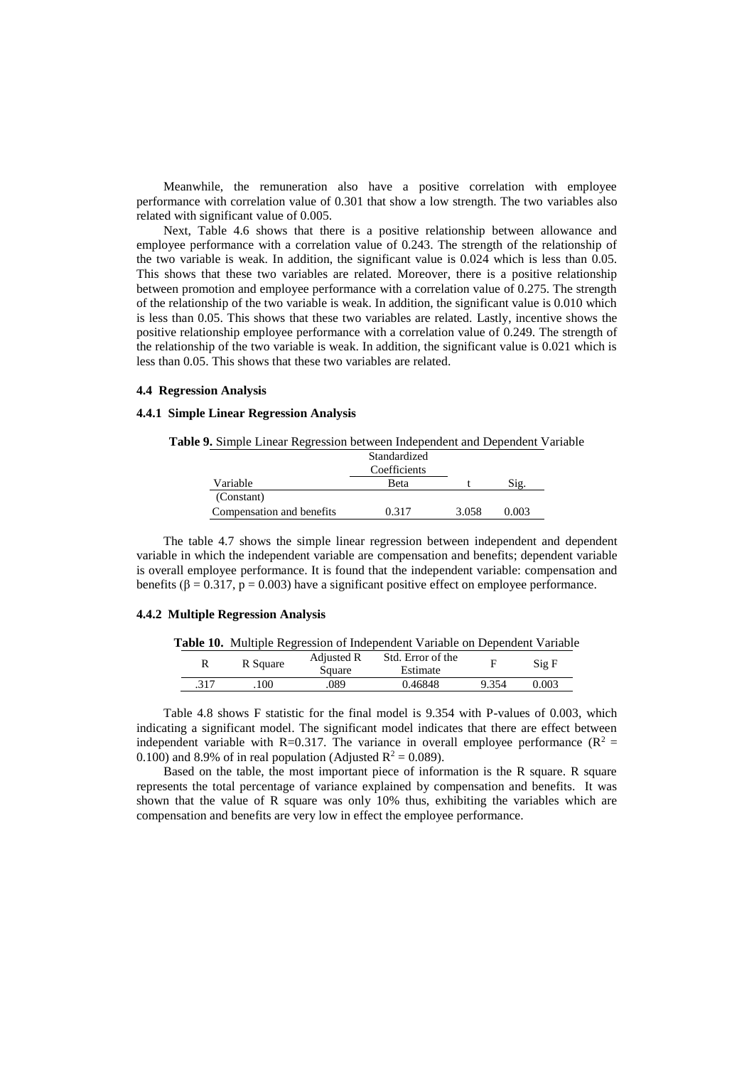Meanwhile, the remuneration also have a positive correlation with employee performance with correlation value of 0.301 that show a low strength. The two variables also related with significant value of 0.005.

Next, Table 4.6 shows that there is a positive relationship between allowance and employee performance with a correlation value of 0.243. The strength of the relationship of the two variable is weak. In addition, the significant value is 0.024 which is less than 0.05. This shows that these two variables are related. Moreover, there is a positive relationship between promotion and employee performance with a correlation value of 0.275. The strength of the relationship of the two variable is weak. In addition, the significant value is 0.010 which is less than 0.05. This shows that these two variables are related. Lastly, incentive shows the positive relationship employee performance with a correlation value of 0.249. The strength of the relationship of the two variable is weak. In addition, the significant value is 0.021 which is less than 0.05. This shows that these two variables are related.

### **4.4 Regression Analysis**

### **4.4.1 Simple Linear Regression Analysis**

### **Table 9.** Simple Linear Regression between Independent and Dependent Variable

|                           | Standardized |       |       |  |
|---------------------------|--------------|-------|-------|--|
|                           | Coefficients |       |       |  |
| Variable                  | <b>Beta</b>  |       | Sig.  |  |
| (Constant)                |              |       |       |  |
| Compensation and benefits | 0.317        | 3.058 | 0.003 |  |

The table 4.7 shows the simple linear regression between independent and dependent variable in which the independent variable are compensation and benefits; dependent variable is overall employee performance. It is found that the independent variable: compensation and benefits ( $\beta = 0.317$ ,  $p = 0.003$ ) have a significant positive effect on employee performance.

### **4.4.2 Multiple Regression Analysis**

|  |  |  | Table 10. Multiple Regression of Independent Variable on Dependent Variable |  |  |
|--|--|--|-----------------------------------------------------------------------------|--|--|
|--|--|--|-----------------------------------------------------------------------------|--|--|

| R    | R Square | Adjusted R<br>Square | Std. Error of the<br>Estimate |       | Sig F |
|------|----------|----------------------|-------------------------------|-------|-------|
| .317 | 100      | .089                 | 0.46848                       | 9.354 | 0.003 |

Table 4.8 shows F statistic for the final model is 9.354 with P-values of 0.003, which indicating a significant model. The significant model indicates that there are effect between independent variable with R=0.317. The variance in overall employee performance ( $R^2$  = 0.100) and 8.9% of in real population (Adjusted  $R^2 = 0.089$ ).

Based on the table, the most important piece of information is the R square. R square represents the total percentage of variance explained by compensation and benefits. It was shown that the value of R square was only 10% thus, exhibiting the variables which are compensation and benefits are very low in effect the employee performance.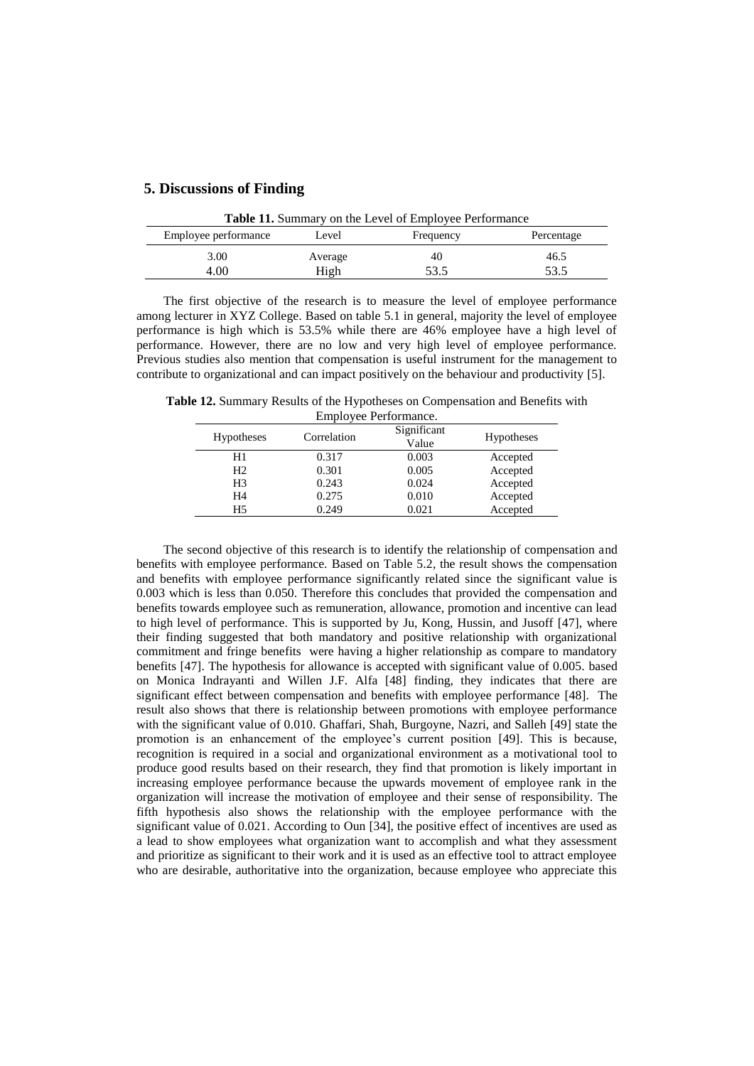### **5. Discussions of Finding**

| <b>Table 11.</b> Summary on the Level of Employee Performance |         |           |            |  |
|---------------------------------------------------------------|---------|-----------|------------|--|
| Employee performance                                          | Level   | Frequency | Percentage |  |
| 3.00                                                          | Average | 40        | 46.5       |  |
| 4.00                                                          | High    | 53.5      | 53.5       |  |

The first objective of the research is to measure the level of employee performance among lecturer in XYZ College. Based on table 5.1 in general, majority the level of employee performance is high which is 53.5% while there are 46% employee have a high level of performance. However, there are no low and very high level of employee performance. Previous studies also mention that compensation is useful instrument for the management to contribute to organizational and can impact positively on the behaviour and productivity [5].

**Table 12.** Summary Results of the Hypotheses on Compensation and Benefits with Employee Performance.

| <b>Hypotheses</b> | Correlation | Significant<br>Value | <b>Hypotheses</b> |  |
|-------------------|-------------|----------------------|-------------------|--|
| H1                | 0.317       | 0.003                | Accepted          |  |
| H <sub>2</sub>    | 0.301       | 0.005                | Accepted          |  |
| H <sub>3</sub>    | 0.243       | 0.024                | Accepted          |  |
| H <sub>4</sub>    | 0.275       | 0.010                | Accepted          |  |
| H5                | 0.249       | 0.021                | Accepted          |  |
|                   |             |                      |                   |  |

The second objective of this research is to identify the relationship of compensation and benefits with employee performance. Based on Table 5.2, the result shows the compensation and benefits with employee performance significantly related since the significant value is 0.003 which is less than 0.050. Therefore this concludes that provided the compensation and benefits towards employee such as remuneration, allowance, promotion and incentive can lead to high level of performance. This is supported by Ju, Kong, Hussin, and Jusoff [47], where their finding suggested that both mandatory and positive relationship with organizational commitment and fringe benefits were having a higher relationship as compare to mandatory benefits [47]. The hypothesis for allowance is accepted with significant value of 0.005. based on Monica Indrayanti and Willen J.F. Alfa [48] finding, they indicates that there are significant effect between compensation and benefits with employee performance [48]. The result also shows that there is relationship between promotions with employee performance with the significant value of 0.010. Ghaffari, Shah, Burgoyne, Nazri, and Salleh [49] state the promotion is an enhancement of the employee's current position [49]. This is because, recognition is required in a social and organizational environment as a motivational tool to produce good results based on their research, they find that promotion is likely important in increasing employee performance because the upwards movement of employee rank in the organization will increase the motivation of employee and their sense of responsibility. The fifth hypothesis also shows the relationship with the employee performance with the significant value of 0.021. According to Oun [34], the positive effect of incentives are used as a lead to show employees what organization want to accomplish and what they assessment and prioritize as significant to their work and it is used as an effective tool to attract employee who are desirable, authoritative into the organization, because employee who appreciate this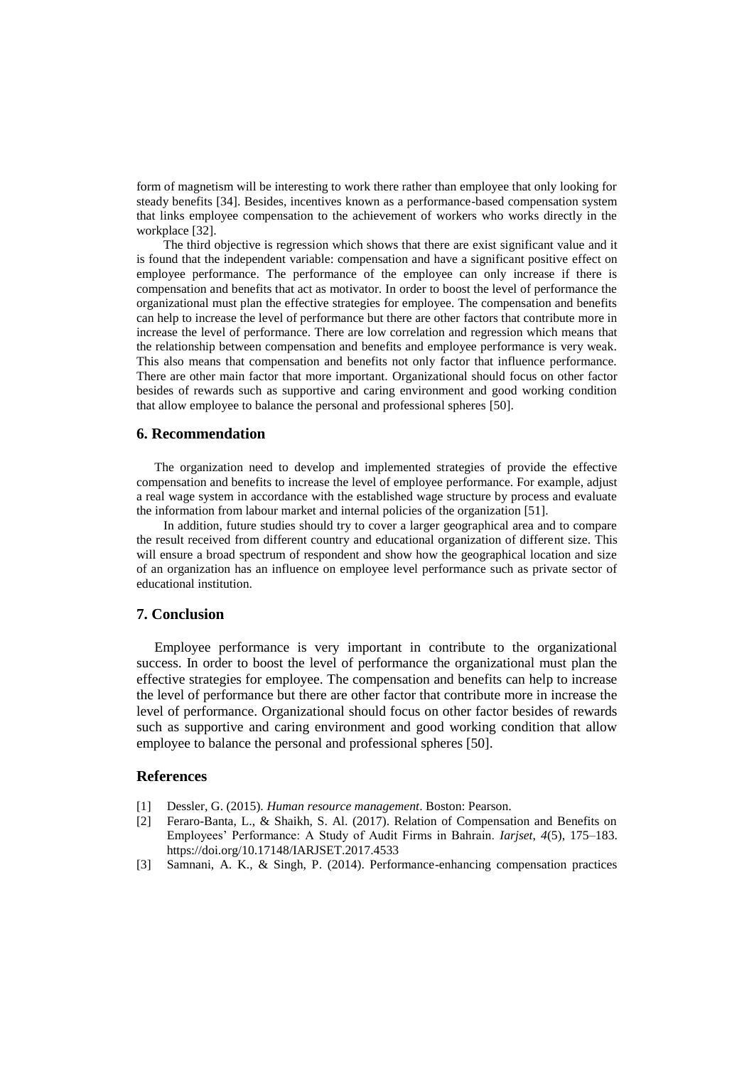form of magnetism will be interesting to work there rather than employee that only looking for steady benefits [34]. Besides, incentives known as a performance-based compensation system that links employee compensation to the achievement of workers who works directly in the workplace [32].

The third objective is regression which shows that there are exist significant value and it is found that the independent variable: compensation and have a significant positive effect on employee performance. The performance of the employee can only increase if there is compensation and benefits that act as motivator. In order to boost the level of performance the organizational must plan the effective strategies for employee. The compensation and benefits can help to increase the level of performance but there are other factors that contribute more in increase the level of performance. There are low correlation and regression which means that the relationship between compensation and benefits and employee performance is very weak. This also means that compensation and benefits not only factor that influence performance. There are other main factor that more important. Organizational should focus on other factor besides of rewards such as supportive and caring environment and good working condition that allow employee to balance the personal and professional spheres [50].

### **6. Recommendation**

The organization need to develop and implemented strategies of provide the effective compensation and benefits to increase the level of employee performance. For example, adjust a real wage system in accordance with the established wage structure by process and evaluate the information from labour market and internal policies of the organization [51].

In addition, future studies should try to cover a larger geographical area and to compare the result received from different country and educational organization of different size. This will ensure a broad spectrum of respondent and show how the geographical location and size of an organization has an influence on employee level performance such as private sector of educational institution.

### **7. Conclusion**

Employee performance is very important in contribute to the organizational success. In order to boost the level of performance the organizational must plan the effective strategies for employee. The compensation and benefits can help to increase the level of performance but there are other factor that contribute more in increase the level of performance. Organizational should focus on other factor besides of rewards such as supportive and caring environment and good working condition that allow employee to balance the personal and professional spheres [50].

### **References**

- [1] Dessler, G. (2015). *Human resource management*. Boston: Pearson.
- [2] Feraro-Banta, L., & Shaikh, S. Al. (2017). Relation of Compensation and Benefits on Employees' Performance: A Study of Audit Firms in Bahrain. *Iarjset*, *4*(5), 175–183. https://doi.org/10.17148/IARJSET.2017.4533
- [3] Samnani, A. K., & Singh, P. (2014). Performance-enhancing compensation practices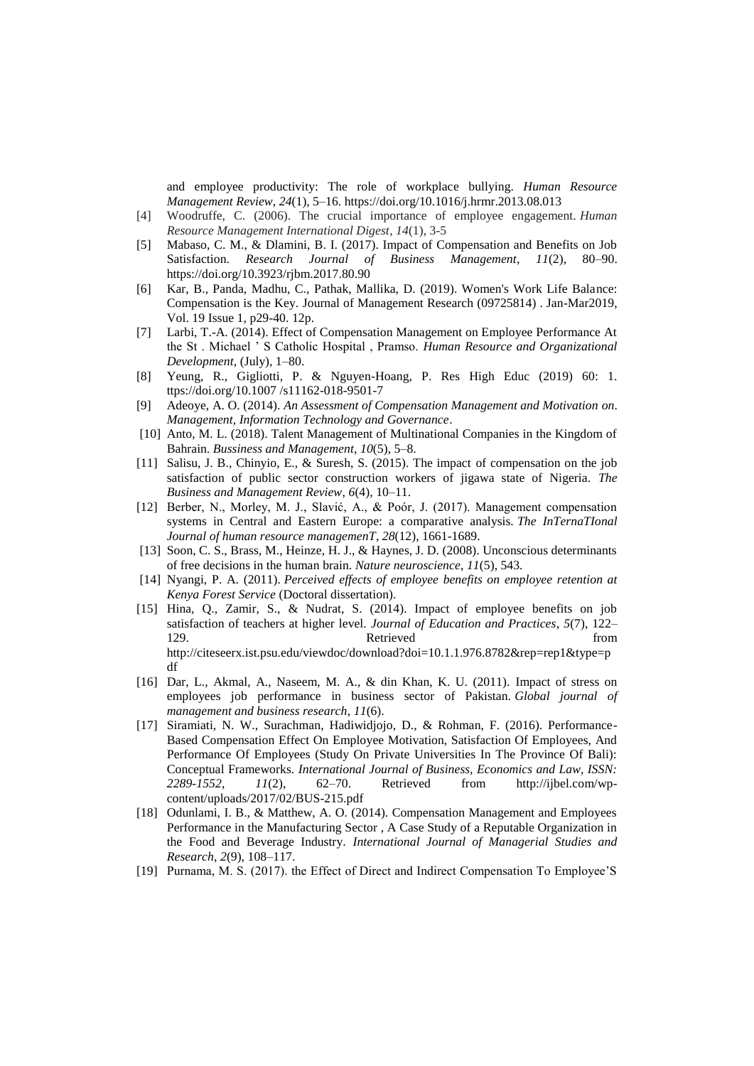and employee productivity: The role of workplace bullying. *Human Resource Management Review*, *24*(1), 5–16. https://doi.org/10.1016/j.hrmr.2013.08.013

- [4] Woodruffe, C. (2006). The crucial importance of employee engagement. *Human Resource Management International Digest*, *14*(1), 3-5
- [5] Mabaso, C. M., & Dlamini, B. I. (2017). Impact of Compensation and Benefits on Job Satisfaction. *Research Journal of Business Management*, *11*(2), 80–90. https://doi.org/10.3923/rjbm.2017.80.90
- [6] Kar, B., Panda, Madhu, C., Pathak, Mallika, D. (2019). Women's Work Life Balance: Compensation is the Key. Journal of Management Research (09725814) . Jan-Mar2019, Vol. 19 Issue 1, p29-40. 12p.
- [7] Larbi, T.-A. (2014). Effect of Compensation Management on Employee Performance At the St . Michael ' S Catholic Hospital , Pramso. *Human Resource and Organizational Development*, (July), 1–80.
- [8] Yeung, R., Gigliotti, P. & Nguyen-Hoang, P. Res High Educ (2019) 60: 1. ttps://doi.org/10.1007 /s11162-018-9501-7
- [9] Adeoye, A. O. (2014). *An Assessment of Compensation Management and Motivation on*. *Management, Information Technology and Governance*.
- [10] Anto, M. L. (2018). Talent Management of Multinational Companies in the Kingdom of Bahrain. *Bussiness and Management*, *10*(5), 5–8.
- [11] Salisu, J. B., Chinyio, E., & Suresh, S. (2015). The impact of compensation on the job satisfaction of public sector construction workers of jigawa state of Nigeria. *The Business and Management Review*, *6*(4), 10–11.
- [12] Berber, N., Morley, M. J., Slavić, A., & Poór, J. (2017). Management compensation systems in Central and Eastern Europe: a comparative analysis. *The InTernaTIonal Journal of human resource managemenT*, *28*(12), 1661-1689.
- [13] Soon, C. S., Brass, M., Heinze, H. J., & Haynes, J. D. (2008). Unconscious determinants of free decisions in the human brain. *Nature neuroscience*, *11*(5), 543.
- [14] Nyangi, P. A. (2011). *Perceived effects of employee benefits on employee retention at Kenya Forest Service* (Doctoral dissertation).
- [15] Hina, Q., Zamir, S., & Nudrat, S. (2014). Impact of employee benefits on job satisfaction of teachers at higher level. *Journal of Education and Practices*, *5*(7), 122– 129. **Retrieved** from http://citeseerx.ist.psu.edu/viewdoc/download?doi=10.1.1.976.8782&rep=rep1&type=p df
- [16] Dar, L., Akmal, A., Naseem, M. A., & din Khan, K. U. (2011). Impact of stress on employees job performance in business sector of Pakistan. *Global journal of management and business research*, *11*(6).
- [17] Siramiati, N. W., Surachman, Hadiwidjojo, D., & Rohman, F. (2016). Performance-Based Compensation Effect On Employee Motivation, Satisfaction Of Employees, And Performance Of Employees (Study On Private Universities In The Province Of Bali): Conceptual Frameworks. *International Journal of Business, Economics and Law, ISSN: 2289-1552*, *11*(2), 62–70. Retrieved from http://ijbel.com/wpcontent/uploads/2017/02/BUS-215.pdf
- [18] Odunlami, I. B., & Matthew, A. O. (2014). Compensation Management and Employees Performance in the Manufacturing Sector , A Case Study of a Reputable Organization in the Food and Beverage Industry. *International Journal of Managerial Studies and Research*, *2*(9), 108–117.
- [19] Purnama, M. S. (2017). the Effect of Direct and Indirect Compensation To Employee'S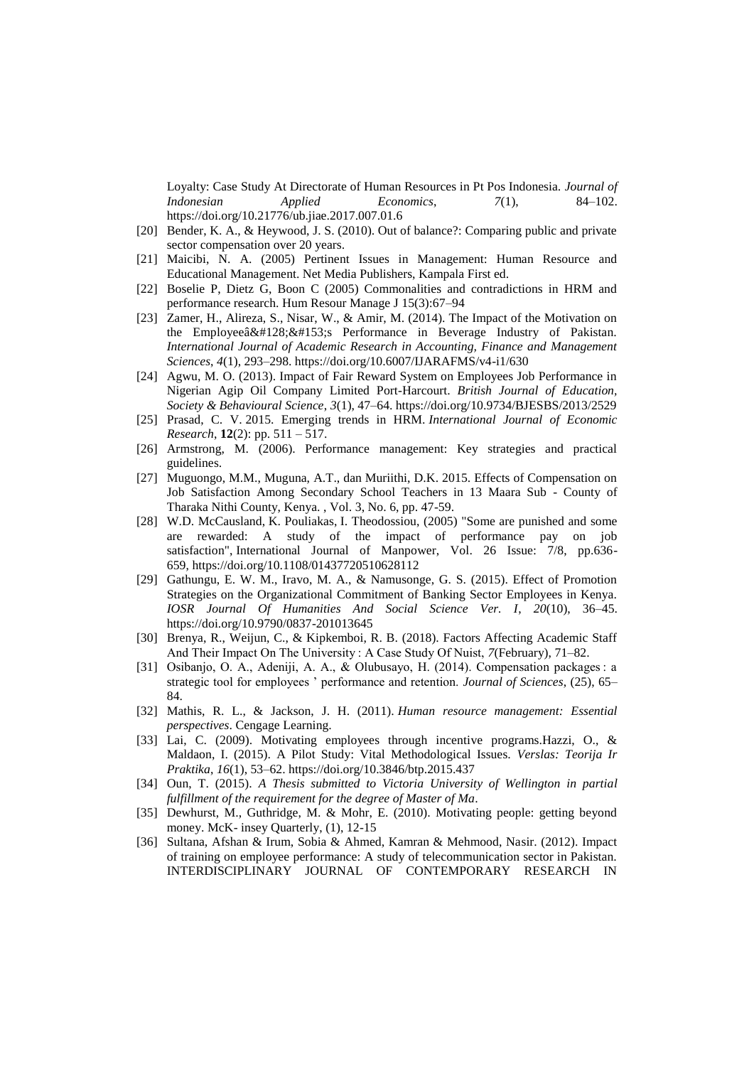Loyalty: Case Study At Directorate of Human Resources in Pt Pos Indonesia. *Journal of Indonesian Applied Economics*, *7*(1), 84–102. https://doi.org/10.21776/ub.jiae.2017.007.01.6

- [20] Bender, K. A., & Heywood, J. S. (2010). Out of balance?: Comparing public and private sector compensation over 20 years.
- [21] Maicibi, N. A. (2005) Pertinent Issues in Management: Human Resource and Educational Management. Net Media Publishers, Kampala First ed.
- [22] Boselie P, Dietz G, Boon C (2005) Commonalities and contradictions in HRM and performance research. Hum Resour Manage J 15(3):67–94
- [23] Zamer, H., Alireza, S., Nisar, W., & Amir, M. (2014). The Impact of the Motivation on the Employee $a\&\#128;\&\#153;s$  Performance in Beverage Industry of Pakistan. *International Journal of Academic Research in Accounting, Finance and Management Sciences*, *4*(1), 293–298. https://doi.org/10.6007/IJARAFMS/v4-i1/630
- [24] Agwu, M. O. (2013). Impact of Fair Reward System on Employees Job Performance in Nigerian Agip Oil Company Limited Port-Harcourt. *British Journal of Education, Society & Behavioural Science*, *3*(1), 47–64. https://doi.org/10.9734/BJESBS/2013/2529
- [25] Prasad, C. V. 2015. Emerging trends in HRM. *International Journal of Economic Research*, **12**(2): pp. 511 – 517.
- [26] Armstrong, M. (2006). Performance management: Key strategies and practical guidelines.
- [27] Muguongo, M.M., Muguna, A.T., dan Muriithi, D.K. 2015. Effects of Compensation on Job Satisfaction Among Secondary School Teachers in 13 Maara Sub - County of Tharaka Nithi County, Kenya. , Vol. 3, No. 6, pp. 47-59.
- [28] [W.D. McCausland,](https://www.emeraldinsight.com/author/McCausland%2C+WD) [K. Pouliakas,](https://www.emeraldinsight.com/author/Pouliakas%2C+K) [I. Theodossiou,](https://www.emeraldinsight.com/author/Theodossiou%2C+I) (2005) "Some are punished and some are rewarded: A study of the impact of performance pay on job satisfaction", International Journal of Manpower, Vol. 26 Issue: 7/8, pp.636- 659, <https://doi.org/10.1108/01437720510628112>
- [29] Gathungu, E. W. M., Iravo, M. A., & Namusonge, G. S. (2015). Effect of Promotion Strategies on the Organizational Commitment of Banking Sector Employees in Kenya. *IOSR Journal Of Humanities And Social Science Ver. I*, *20*(10), 36–45. https://doi.org/10.9790/0837-201013645
- [30] Brenya, R., Weijun, C., & Kipkemboi, R. B. (2018). Factors Affecting Academic Staff And Their Impact On The University : A Case Study Of Nuist, *7*(February), 71–82.
- [31] Osibanjo, O. A., Adeniji, A. A., & Olubusayo, H. (2014). Compensation packages : a strategic tool for employees ' performance and retention. *Journal of Sciences*, (25), 65– 84.
- [32] Mathis, R. L., & Jackson, J. H. (2011). *Human resource management: Essential perspectives*. Cengage Learning.
- [33] Lai, C. (2009). Motivating employees through incentive programs.Hazzi, O., & Maldaon, I. (2015). A Pilot Study: Vital Methodological Issues. *Verslas: Teorija Ir Praktika*, *16*(1), 53–62. https://doi.org/10.3846/btp.2015.437
- [34] Oun, T. (2015). *A Thesis submitted to Victoria University of Wellington in partial fulfillment of the requirement for the degree of Master of Ma*.
- [35] Dewhurst, M., Guthridge, M. & Mohr, E. (2010). Motivating people: getting beyond money. McK- insey Quarterly,  $(1)$ , 12-15
- [36] Sultana, Afshan & Irum, Sobia & Ahmed, Kamran & Mehmood, Nasir. (2012). Impact of training on employee performance: A study of telecommunication sector in Pakistan. INTERDISCIPLINARY JOURNAL OF CONTEMPORARY RESEARCH IN